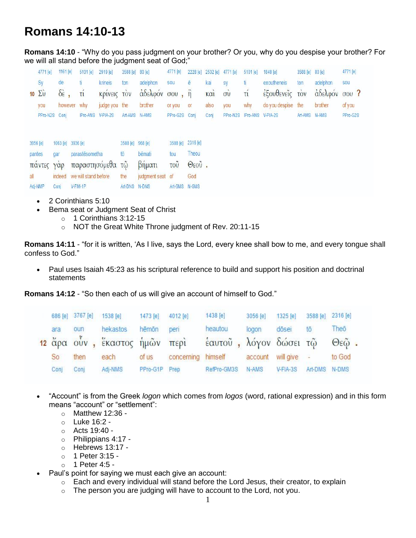## **Romans 14:10-13**

**Romans 14:10** - "Why do you pass judgment on your brother? Or you, why do you despise your brother? For we will all stand before the judgment seat of God;"

|          | 4771 [e]               | 1161 [e]                | 5101 [e]             | 2919 [e]         | 3588 [e]         | 80 [e]           | 4771 [e]          |               | 2228 [e] 2532 [e] 4771 [e] |                | 5101 [e]                   | 1848 [e]           | 3588 [e] 80 [e] |               | 4771 [e] |
|----------|------------------------|-------------------------|----------------------|------------------|------------------|------------------|-------------------|---------------|----------------------------|----------------|----------------------------|--------------------|-----------------|---------------|----------|
|          | Sy                     | de.                     |                      | krineis          | ton              | adelphon         | sou               | ē             | kai                        | sy             | ti.                        | exoutheneis        | ton             | adelphon      | sou      |
|          | $10\ \Sigma \dot{\nu}$ | $\delta \dot{\epsilon}$ | τí                   | Κρινεις τον      |                  | άδελφόν σου, ή   |                   |               | KCl                        | $\vec{\sigma}$ | τí                         | έξουθενεΐς τον     |                 | άδελφόν σου ? |          |
|          | you                    | however                 | why                  | judge you the    |                  | brother          | or you            | <b>or</b>     | also                       | you            | why                        | do you despise the |                 | brother       | of you   |
|          | PPro-N2S               | Conj                    | IPro-ANS             | V-PIA-2S         | Art-AMS N-AMS    |                  | PPro-G2S Conj     |               | Conj                       |                | PPro-N2S IPro-ANS V-PIA-2S |                    | Art-AMS N-AMS   |               | PPro-G2S |
|          |                        |                         |                      |                  |                  |                  |                   |               |                            |                |                            |                    |                 |               |          |
| 3956 [e] |                        | 1063 [e] 3936 [e]       |                      |                  | 3588 [e] 968 [e] |                  | 3588 [e] 2316 [e] |               |                            |                |                            |                    |                 |               |          |
| pantes   |                        | gar                     | parastēsometha       |                  | tō               | bēmati           | tou               | Theou         |                            |                |                            |                    |                 |               |          |
|          | παντες                 | $Y\alpha p$             |                      | παραστησόμεθα τῷ |                  | βήματι           | <b>TOU</b>        | $\Theta$ εοῦ. |                            |                |                            |                    |                 |               |          |
| all      |                        | indeed                  | we will stand before |                  | the              | judgment seat of |                   | God           |                            |                |                            |                    |                 |               |          |
|          | Adj-NMP                | Conj                    | V-FIM-1P             |                  | Art-DNS N-DNS    |                  | Art-GMS N-GMS     |               |                            |                |                            |                    |                 |               |          |

- 2 Corinthians 5:10
- Bema seat or Judgment Seat of Christ
	- $\circ$  1 Corinthians 3:12-15
	- o NOT the Great White Throne judgment of Rev. 20:11-15

**Romans 14:11** - "for it is written, 'As I live, says the Lord, every knee shall bow to me, and every tongue shall confess to God."

 Paul uses Isaiah 45:23 as his scriptural reference to build and support his position and doctrinal statements

**Romans 14:12** - "So then each of us will give an account of himself to God."

|      | 686 [e] 3767 [e] 1538 [e] |                                             | 1473 [e]      | 4012 [e] | 1438 [e]                    | 3056 [e] | 1325 [e]    |         | 3588 [e] 2316 [e] |
|------|---------------------------|---------------------------------------------|---------------|----------|-----------------------------|----------|-------------|---------|-------------------|
| ara  | oun                       | hekastos                                    | hēmōn         | peri     | heautou                     | logon    | dösei       | tō      | Theo              |
|      |                           | <mark>12</mark> ἄρα οὖν , ἕκαστος ἡμῶν περὶ |               |          | έαυτοῦ, λόγον δώσει τῷ Θεῷ. |          |             |         |                   |
| So   | then                      | each                                        | of us         |          | concerning himself account  |          | will give - |         | to God            |
| Conj | Conj                      | Adj-NMS                                     | PPro-G1P Prep |          | RefPro-GM3S                 | N-AMS    | V-FIA-3S    | Art-DMS | N-DMS             |

- "Account" is from the Greek *logon* which comes from *logos* (word, rational expression) and in this form means "account" or "settlement":
	- $\circ$  Matthew 12:36 -
	- o Luke 16:2 -
	- o Acts 19:40 -
	- o Philippians 4:17 -
	- o Hebrews 13:17 -
	- o 1 Peter 3:15 -
	- $\circ$  1 Peter 4:5 -
- Paul's point for saying we must each give an account:
	- o Each and every individual will stand before the Lord Jesus, their creator, to explain
	- $\circ$  The person you are judging will have to account to the Lord, not you.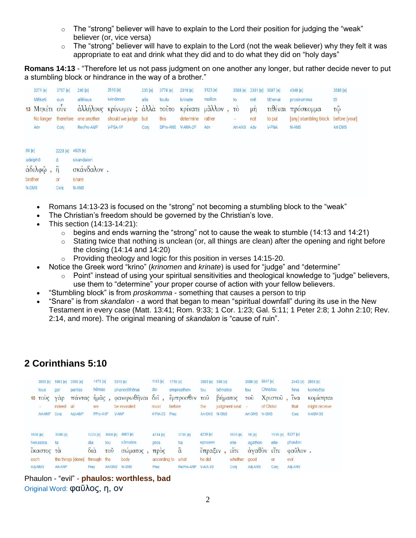- $\circ$  The "strong" believer will have to explain to the Lord their position for judging the "weak" believer (or, vice versa)
- $\circ$  The "strong" believer will have to explain to the Lord (not the weak believer) why they felt it was appropriate to eat and drink what they did and to do what they did on "holy days"

**Romans 14:13** - "Therefore let us not pass judgment on one another any longer, but rather decide never to put a stumbling block or hindrance in the way of a brother."

|                 | 3371 [e]                        | 3767 [e]                             | 240 [e]                                   | 2919 [e]                                         | 235 [e] | 3778 [e]          | 2919 [e]  | 3123 [e] |         |     | 3588 [e] 3361 [e] 5087 [e] | 4348 [e]                            | 3588 [e]             |
|-----------------|---------------------------------|--------------------------------------|-------------------------------------------|--------------------------------------------------|---------|-------------------|-----------|----------|---------|-----|----------------------------|-------------------------------------|----------------------|
|                 | Mēketi                          | oun                                  | allēlous                                  | krinömen                                         | alla    | touto             | krinate   | mallon   | to      | mē  | tithenai                   | proskomma                           | $t\bar{o}$           |
|                 | 13 Μηκέτι ούν                   |                                      |                                           | άλλήλους κρίνωμεν; άλλά τοῦτο κρίνατε μᾶλλον, τὸ |         |                   |           |          |         | μή  |                            | τιθέναι πρόσκομμα                   | $\tau\tilde{\omega}$ |
|                 | No longer                       |                                      | therefore one another                     | should we judge but                              |         | this              | determine | rather   | ÷       | not | to put                     | [any] stumbling block before [your] |                      |
|                 | Adv                             | Conj                                 | RecPro-AMP                                | V-PSA-1P                                         | Conj    | DPro-ANS V-AMA-2P |           | Adv      | Art-ANS | Adv | <b>V-PNA</b>               | N-ANS                               | Art-DMS              |
| 80 [e]<br>N-DMS | adelphō<br>άδελφῷ, ή<br>brother | 2228 [e] 4625 [e]<br>ē<br>or<br>Conj | skandalon<br>σκάνδαλον.<br>snare<br>N-ANS |                                                  |         |                   |           |          |         |     |                            |                                     |                      |

- Romans 14:13-23 is focused on the "strong" not becoming a stumbling block to the "weak"
- The Christian's freedom should be governed by the Christian's love.
- This section (14:13-14:21):
	- $\circ$  begins and ends warning the "strong" not to cause the weak to stumble (14:13 and 14:21)
	- o Stating twice that nothing is unclean (or, all things are clean) after the opening and right before the closing (14:14 and 14:20)
	- o Providing theology and logic for this position in verses 14:15-20.
	- Notice the Greek word "krino" (*krinomen* and *krinate*) is used for "judge" and "determine"
		- $\circ$  Point" instead of using your spiritual sensitivities and theological knowledge to "judge" believers, use them to "determine" your proper course of action with your fellow believers.
- "Stumbling block" is from *proskomma* something that causes a person to trip
- "Snare" is from *skandalon* a word that began to mean "spiritual downfall" during its use in the New Testament in every case (Matt. 13:41; Rom. 9:33; 1 Cor. 1:23; Gal. 5:11; 1 Peter 2:8; 1 John 2:10; Rev. 2:14, and more). The original meaning of *skandalon* is "cause of ruin".

## **2 Corinthians 5:10**

| 10   | 3588 [e]<br>tous<br>TOUC<br>c | 1063 [e]<br>gar<br>Υαρ<br>indeed          | 3956 [e]<br>pantas<br>παντας<br>all | 1473 [e]<br>hēmas<br>ήμᾶς,<br>we             |            | 5319 [e]<br>phanerothenai<br>φανερωθῆναι δεῖ,<br>be revealed | 1163 [e]<br>dei<br>must      | 1715 [e]<br>emprosthen<br>έμπροσθεν του<br>before | 3588 [e]<br>tou<br>the       | 968 [e]<br>bēmatos<br>βήματος | judgment seat                            | 3588 [e]<br>tou<br>τοῦ<br>×. | 5547 [e]<br>Christou<br>of Christ | Χριστού                                       |                 | 2443 [e]<br>hina<br>$\tilde{i} \nu \alpha$<br>that | 2865 [e]<br>komisētai<br>κομισηται<br>might receive |
|------|-------------------------------|-------------------------------------------|-------------------------------------|----------------------------------------------|------------|--------------------------------------------------------------|------------------------------|---------------------------------------------------|------------------------------|-------------------------------|------------------------------------------|------------------------------|-----------------------------------|-----------------------------------------------|-----------------|----------------------------------------------------|-----------------------------------------------------|
|      | Art-AMP<br>1538 [e]           | Conj<br><b>Miles Modellin</b><br>3588 [e] | Adj-AMP                             | PPro-A1P<br>1223 [e]                         | 3588 [e]   | V-ANP<br>4983 [e]                                            | $V-PIA-3S$<br>4314 [e]       | Prep<br>3739 [e]                                  | Art-GNS N-GNS<br>4238 [e]    |                               | 1535 [e]                                 | Art-GMS<br>18 [e]            | N-GMS                             | 1535 [e] 5337 [e]                             |                 | Conj                                               | V-ASM-3S                                            |
| each | hekastos<br>έκαστος           | ta<br>τα                                  | the things [done]                   | dia<br>$\delta i\dot{\alpha}$<br>through the | tou<br>τοῦ | sōmatos<br>σωματος<br>body                                   | pros<br>трос<br>according to | ha<br>$\ddot{\alpha}$<br>what                     | epraxen<br>έπραξεν<br>he did |                               | eite<br>$\tilde{\text{circ}}$<br>whether | agathon<br>άγαθὸν<br>good    |                                   | eite<br>$\epsilon$ it $\epsilon$<br><b>or</b> | phaulon<br>evil | φαύλον.                                            |                                                     |
|      | Adj-NMS                       | Art-ANP                                   |                                     | Prep                                         | Art-GNS    | N-GNS                                                        | Prep                         | RelPro-ANP                                        | V-AIA-3S                     |                               | Conj                                     | Adi-ANS                      |                                   | Conj                                          | Adi-ANS         |                                                    |                                                     |

Phaulon - "evil" - **phaulos: worthless, bad** Original Word: φαῦλος, η, ον